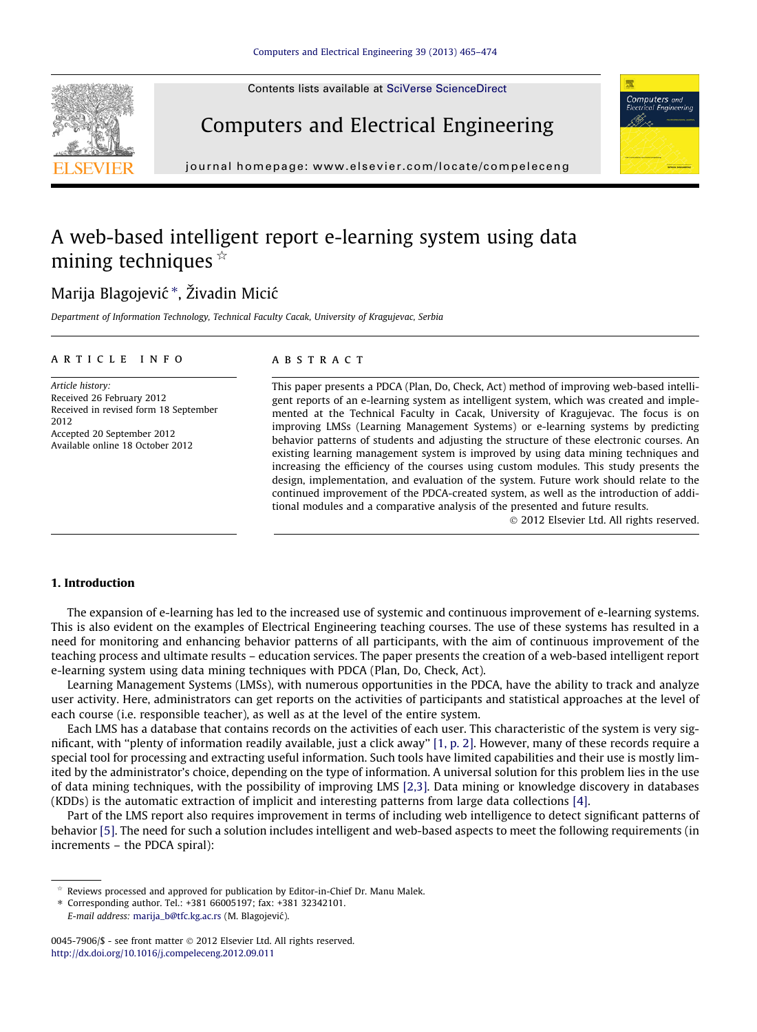Contents lists available at [SciVerse ScienceDirect](http://www.sciencedirect.com/science/journal/00457906)





Computers and Electrical Engineering

journal homepage: [www.elsevier.com/locate/compeleceng](http://www.elsevier.com/locate/compeleceng)

## A web-based intelligent report e-learning system using data mining techniques  $\hat{z}$

### Marija Blagojević \*, Živadin Micić

Department of Information Technology, Technical Faculty Cacak, University of Kragujevac, Serbia

#### article info

Article history: Received 26 February 2012 Received in revised form 18 September 2012 Accepted 20 September 2012 Available online 18 October 2012

#### **ABSTRACT**

This paper presents a PDCA (Plan, Do, Check, Act) method of improving web-based intelligent reports of an e-learning system as intelligent system, which was created and implemented at the Technical Faculty in Cacak, University of Kragujevac. The focus is on improving LMSs (Learning Management Systems) or e-learning systems by predicting behavior patterns of students and adjusting the structure of these electronic courses. An existing learning management system is improved by using data mining techniques and increasing the efficiency of the courses using custom modules. This study presents the design, implementation, and evaluation of the system. Future work should relate to the continued improvement of the PDCA-created system, as well as the introduction of additional modules and a comparative analysis of the presented and future results.

- 2012 Elsevier Ltd. All rights reserved.

#### 1. Introduction

The expansion of e-learning has led to the increased use of systemic and continuous improvement of e-learning systems. This is also evident on the examples of Electrical Engineering teaching courses. The use of these systems has resulted in a need for monitoring and enhancing behavior patterns of all participants, with the aim of continuous improvement of the teaching process and ultimate results – education services. The paper presents the creation of a web-based intelligent report e-learning system using data mining techniques with PDCA (Plan, Do, Check, Act).

Learning Management Systems (LMSs), with numerous opportunities in the PDCA, have the ability to track and analyze user activity. Here, administrators can get reports on the activities of participants and statistical approaches at the level of each course (i.e. responsible teacher), as well as at the level of the entire system.

Each LMS has a database that contains records on the activities of each user. This characteristic of the system is very significant, with ''plenty of information readily available, just a click away'' [\[1, p. 2\].](#page--1-0) However, many of these records require a special tool for processing and extracting useful information. Such tools have limited capabilities and their use is mostly limited by the administrator's choice, depending on the type of information. A universal solution for this problem lies in the use of data mining techniques, with the possibility of improving LMS [\[2,3\]](#page--1-0). Data mining or knowledge discovery in databases (KDDs) is the automatic extraction of implicit and interesting patterns from large data collections [\[4\].](#page--1-0)

Part of the LMS report also requires improvement in terms of including web intelligence to detect significant patterns of behavior [\[5\].](#page--1-0) The need for such a solution includes intelligent and web-based aspects to meet the following requirements (in increments – the PDCA spiral):

Reviews processed and approved for publication by Editor-in-Chief Dr. Manu Malek.

<sup>⇑</sup> Corresponding author. Tel.: +381 66005197; fax: +381 32342101. E-mail address: [marija\\_b@tfc.kg.ac.rs](mailto:marija_b@tfc.kg.ac.rs) (M. Blagojević).

<sup>0045-7906/\$ -</sup> see front matter © 2012 Elsevier Ltd. All rights reserved. <http://dx.doi.org/10.1016/j.compeleceng.2012.09.011>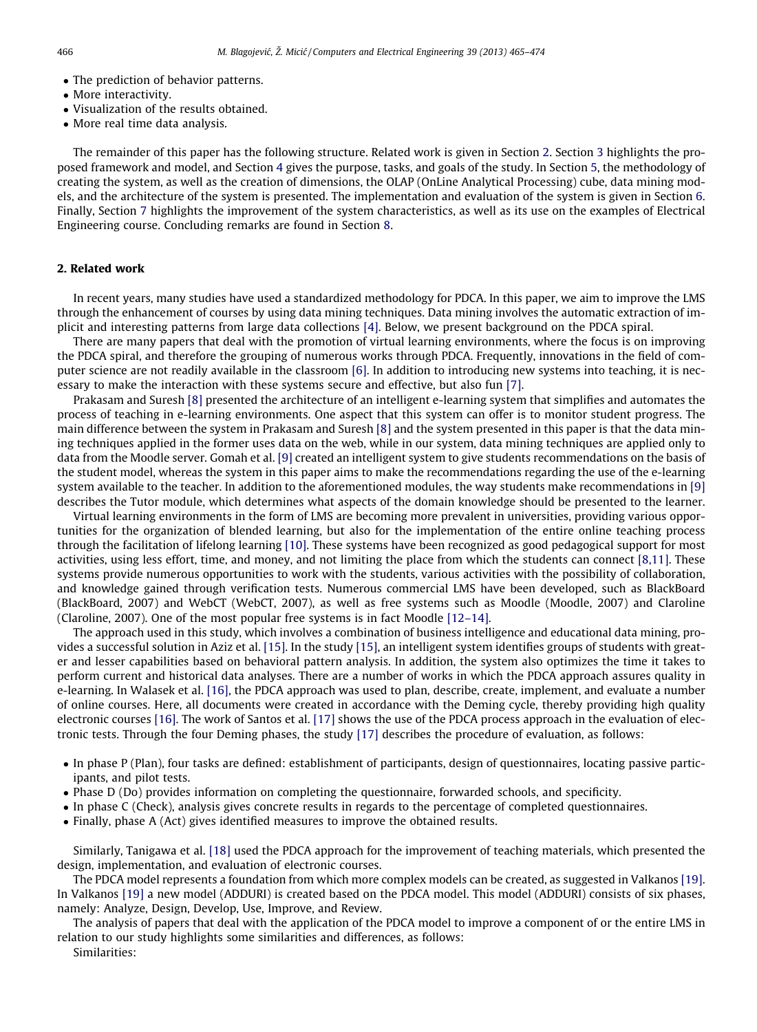- The prediction of behavior patterns.
- More interactivity.
- Visualization of the results obtained.
- More real time data analysis.

The remainder of this paper has the following structure. Related work is given in Section 2. Section 3 highlights the proposed framework and model, and Section 4 gives the purpose, tasks, and goals of the study. In Section 5, the methodology of creating the system, as well as the creation of dimensions, the OLAP (OnLine Analytical Processing) cube, data mining models, and the architecture of the system is presented. The implementation and evaluation of the system is given in Section 6. Finally, Section 7 highlights the improvement of the system characteristics, as well as its use on the examples of Electrical Engineering course. Concluding remarks are found in Section 8.

#### 2. Related work

In recent years, many studies have used a standardized methodology for PDCA. In this paper, we aim to improve the LMS through the enhancement of courses by using data mining techniques. Data mining involves the automatic extraction of implicit and interesting patterns from large data collections [\[4\]](#page--1-0). Below, we present background on the PDCA spiral.

There are many papers that deal with the promotion of virtual learning environments, where the focus is on improving the PDCA spiral, and therefore the grouping of numerous works through PDCA. Frequently, innovations in the field of computer science are not readily available in the classroom [\[6\].](#page--1-0) In addition to introducing new systems into teaching, it is necessary to make the interaction with these systems secure and effective, but also fun [\[7\]](#page--1-0).

Prakasam and Suresh [\[8\]](#page--1-0) presented the architecture of an intelligent e-learning system that simplifies and automates the process of teaching in e-learning environments. One aspect that this system can offer is to monitor student progress. The main difference between the system in Prakasam and Suresh [\[8\]](#page--1-0) and the system presented in this paper is that the data mining techniques applied in the former uses data on the web, while in our system, data mining techniques are applied only to data from the Moodle server. Gomah et al. [\[9\]](#page--1-0) created an intelligent system to give students recommendations on the basis of the student model, whereas the system in this paper aims to make the recommendations regarding the use of the e-learning system available to the teacher. In addition to the aforementioned modules, the way students make recommendations in [\[9\]](#page--1-0) describes the Tutor module, which determines what aspects of the domain knowledge should be presented to the learner.

Virtual learning environments in the form of LMS are becoming more prevalent in universities, providing various opportunities for the organization of blended learning, but also for the implementation of the entire online teaching process through the facilitation of lifelong learning [\[10\]](#page--1-0). These systems have been recognized as good pedagogical support for most activities, using less effort, time, and money, and not limiting the place from which the students can connect [\[8,11\]](#page--1-0). These systems provide numerous opportunities to work with the students, various activities with the possibility of collaboration, and knowledge gained through verification tests. Numerous commercial LMS have been developed, such as BlackBoard (BlackBoard, 2007) and WebCT (WebCT, 2007), as well as free systems such as Moodle (Moodle, 2007) and Claroline (Claroline, 2007). One of the most popular free systems is in fact Moodle [\[12–14\]](#page--1-0).

The approach used in this study, which involves a combination of business intelligence and educational data mining, provides a successful solution in Aziz et al. [\[15\]](#page--1-0). In the study [\[15\],](#page--1-0) an intelligent system identifies groups of students with greater and lesser capabilities based on behavioral pattern analysis. In addition, the system also optimizes the time it takes to perform current and historical data analyses. There are a number of works in which the PDCA approach assures quality in e-learning. In Walasek et al. [\[16\]](#page--1-0), the PDCA approach was used to plan, describe, create, implement, and evaluate a number of online courses. Here, all documents were created in accordance with the Deming cycle, thereby providing high quality electronic courses [\[16\].](#page--1-0) The work of Santos et al. [\[17\]](#page--1-0) shows the use of the PDCA process approach in the evaluation of electronic tests. Through the four Deming phases, the study [\[17\]](#page--1-0) describes the procedure of evaluation, as follows:

- In phase P (Plan), four tasks are defined: establishment of participants, design of questionnaires, locating passive participants, and pilot tests.
- Phase D (Do) provides information on completing the questionnaire, forwarded schools, and specificity.
- In phase C (Check), analysis gives concrete results in regards to the percentage of completed questionnaires.
- Finally, phase A (Act) gives identified measures to improve the obtained results.

Similarly, Tanigawa et al. [\[18\]](#page--1-0) used the PDCA approach for the improvement of teaching materials, which presented the design, implementation, and evaluation of electronic courses.

The PDCA model represents a foundation from which more complex models can be created, as suggested in Valkanos [\[19\]](#page--1-0). In Valkanos [\[19\]](#page--1-0) a new model (ADDURI) is created based on the PDCA model. This model (ADDURI) consists of six phases, namely: Analyze, Design, Develop, Use, Improve, and Review.

The analysis of papers that deal with the application of the PDCA model to improve a component of or the entire LMS in relation to our study highlights some similarities and differences, as follows:

Similarities: